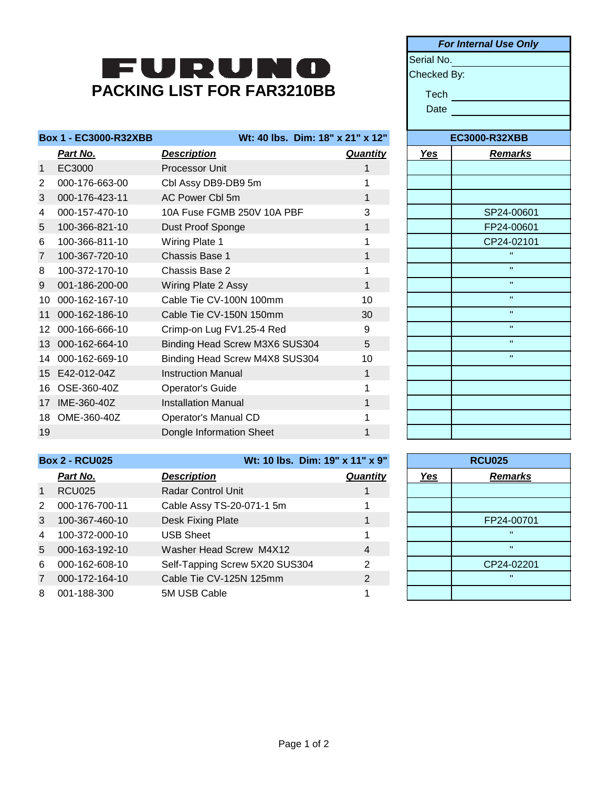## FURUNO **PACKING LIST FOR FAR3210BB**

|                | <b>Box 1 - EC3000-R32XBB</b> |                                | Wt: 40 lbs. Dim: 18" x 21" x 12" |            | <b>EC3000-R32XBB</b> |
|----------------|------------------------------|--------------------------------|----------------------------------|------------|----------------------|
|                | Part No.                     | <b>Description</b>             | <b>Quantity</b>                  | <u>Yes</u> | <b>Remarks</b>       |
| $\mathbf{1}$   | EC3000                       | Processor Unit                 |                                  |            |                      |
| $\overline{2}$ | 000-176-663-00               | Cbl Assy DB9-DB9 5m            |                                  |            |                      |
| 3              | 000-176-423-11               | AC Power Cbl 5m                | 1                                |            |                      |
| 4              | 000-157-470-10               | 10A Fuse FGMB 250V 10A PBF     | 3                                |            | SP24-00601           |
| 5              | 100-366-821-10               | Dust Proof Sponge              | 1                                |            | FP24-00601           |
| 6              | 100-366-811-10               | Wiring Plate 1                 |                                  |            | CP24-02101           |
| $\overline{7}$ | 100-367-720-10               | Chassis Base 1                 | 1                                |            | $\mathbf{H}$         |
| 8              | 100-372-170-10               | Chassis Base 2                 |                                  |            | $\mathbf{H}$         |
| 9              | 001-186-200-00               | Wiring Plate 2 Assy            | 1                                |            | $\mathbf{H}$         |
| 10             | 000-162-167-10               | Cable Tie CV-100N 100mm        | 10                               |            | $\mathbf{H}$         |
| 11             | 000-162-186-10               | Cable Tie CV-150N 150mm        | 30                               |            | $\mathbf{H}$         |
| 12             | 000-166-666-10               | Crimp-on Lug FV1.25-4 Red      | 9                                |            | $\mathbf{H}$         |
| 13             | 000-162-664-10               | Binding Head Screw M3X6 SUS304 | 5                                |            | $\mathbf{H}$         |
| 14             | 000-162-669-10               | Binding Head Screw M4X8 SUS304 | 10                               |            | $\mathbf{H}$         |
|                | 15 E42-012-04Z               | <b>Instruction Manual</b>      | 1                                |            |                      |
| 16             | OSE-360-40Z                  | Operator's Guide               |                                  |            |                      |
| 17             | IME-360-40Z                  | <b>Installation Manual</b>     | 1                                |            |                      |
| 18             | OME-360-40Z                  | Operator's Manual CD           |                                  |            |                      |
| 19             |                              | Dongle Information Sheet       | 1                                |            |                      |

| <b>For Internal Use Only</b> |                      |  |  |  |  |
|------------------------------|----------------------|--|--|--|--|
|                              | Serial No.           |  |  |  |  |
| Checked By:                  |                      |  |  |  |  |
| <b>Tech</b>                  |                      |  |  |  |  |
| Date                         |                      |  |  |  |  |
|                              |                      |  |  |  |  |
|                              | <b>EC3000-R32XBB</b> |  |  |  |  |
| <u>Yes</u>                   | <b>Remarks</b>       |  |  |  |  |
|                              |                      |  |  |  |  |
|                              |                      |  |  |  |  |
|                              |                      |  |  |  |  |
|                              | SP24-00601           |  |  |  |  |
|                              | FP24-00601           |  |  |  |  |
|                              | CP24-02101           |  |  |  |  |
|                              | Ħ                    |  |  |  |  |
|                              | $\mathbf{u}$         |  |  |  |  |
|                              | $\blacksquare$       |  |  |  |  |
|                              | $\mathbf{u}$         |  |  |  |  |
|                              | $\blacksquare$       |  |  |  |  |
|                              | $\mathbf{u}$         |  |  |  |  |
|                              | $\mathbf{u}$         |  |  |  |  |
|                              | $\blacksquare$       |  |  |  |  |
|                              |                      |  |  |  |  |
|                              |                      |  |  |  |  |
|                              |                      |  |  |  |  |
|                              |                      |  |  |  |  |
|                              |                      |  |  |  |  |

**Box 2 - RCU025 Wt: 10 lbs. Dim: 19" x 11" x 9"**

|                | Part No.       | <b>Description</b>             | <b>Quantity</b> | <u>Yes</u> | <b>Remarks</b> |
|----------------|----------------|--------------------------------|-----------------|------------|----------------|
| $\overline{1}$ | <b>RCU025</b>  | <b>Radar Control Unit</b>      |                 |            |                |
| 2              | 000-176-700-11 | Cable Assy TS-20-071-1 5m      |                 |            |                |
| 3              | 100-367-460-10 | Desk Fixing Plate              |                 |            | FP24-00701     |
| 4              | 100-372-000-10 | <b>USB Sheet</b>               |                 |            |                |
| $5^{\circ}$    | 000-163-192-10 | Washer Head Screw M4X12        | 4               |            | $\mathbf{u}$   |
| 6              | 000-162-608-10 | Self-Tapping Screw 5X20 SUS304 | 2               |            | CP24-02201     |
| $\overline{7}$ | 000-172-164-10 | Cable Tie CV-125N 125mm        | $\overline{2}$  |            |                |
| 8              | 001-188-300    | 5M USB Cable                   |                 |            |                |
|                |                |                                |                 |            |                |

|            | <b>RCU025</b>  |  |  |
|------------|----------------|--|--|
| <b>Yes</b> | <b>Remarks</b> |  |  |
|            |                |  |  |
|            |                |  |  |
|            | FP24-00701     |  |  |
|            | $\mathbf{u}$   |  |  |
|            | $\mathbf{u}$   |  |  |
|            | CP24-02201     |  |  |
|            | $\mathbf{u}$   |  |  |
|            |                |  |  |